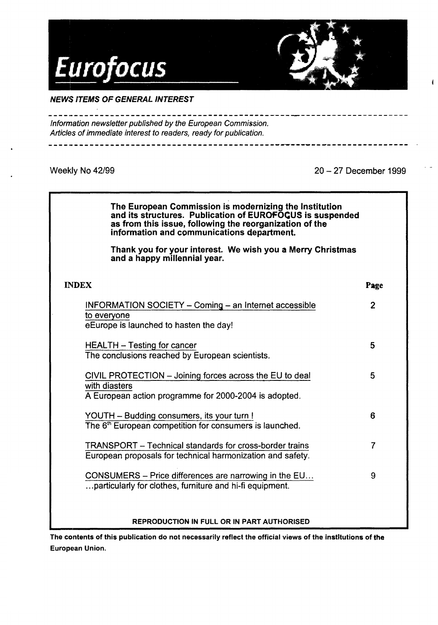

NEWS ITEMS OF GENERAL INTEREST

- - - - .. - - - - <sup>~</sup>- - - - - - - - - - - - - \_\_\_\_\_\_\_\_\_\_\_\_\_\_\_\_\_\_\_\_ .Eu~ .0.9lllW@Eli.9,!1\_ P~!e\_g\_a.\_!;!on Information newsletter published by the European Commission. Articles of immediate interest to readers, ready for publication. ----·----------------------------------- -----·-~p\_,\_:QQ \_\_ Jl~! \_\_ ----

Weekly No 42/99

 $\sqrt{1000}$ 20 - 27 December 1999

| The European Commission is modernizing the Institution<br>and its structures. Publication of EUROFOCUS is suspended<br>as from this issue, following the reorganization of the<br>information and communications department. |                |
|------------------------------------------------------------------------------------------------------------------------------------------------------------------------------------------------------------------------------|----------------|
| Thank you for your interest. We wish you a Merry Christmas<br>and a happy millennial year.                                                                                                                                   |                |
| <b>INDEX</b>                                                                                                                                                                                                                 | Page           |
| INFORMATION SOCIETY - Coming - an Internet accessible<br>to everyone<br>eEurope is launched to hasten the day!                                                                                                               | $\overline{2}$ |
| <b>HEALTH - Testing for cancer</b><br>The conclusions reached by European scientists.                                                                                                                                        | 5              |
| CIVIL PROTECTION - Joining forces across the EU to deal<br>with diasters<br>A European action programme for 2000-2004 is adopted.                                                                                            | 5              |
| YOUTH - Budding consumers, its your turn !<br>The 6 <sup>th</sup> European competition for consumers is launched.                                                                                                            | 6              |
| <b>TRANSPORT</b> – Technical standards for cross-border trains<br>European proposals for technical harmonization and safety.                                                                                                 | $\overline{7}$ |
| CONSUMERS – Price differences are narrowing in the EU<br>particularly for clothes, furniture and hi-fi equipment.                                                                                                            | 9              |
| REPRODUCTION IN FULL OR IN PART AUTHORISED                                                                                                                                                                                   |                |

The contents of this publication do not necessarily reflect the official views of the institutions of the European Union.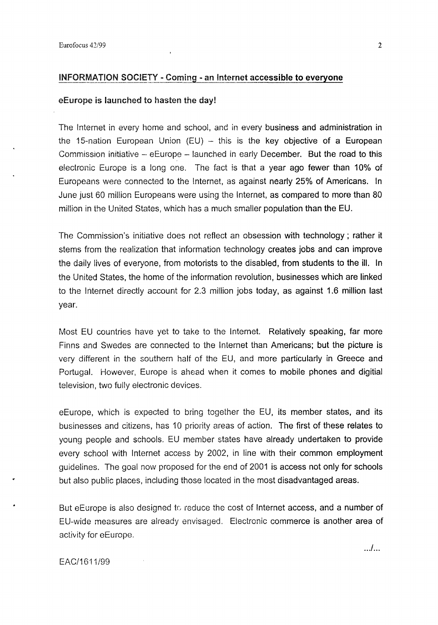## INFORMATION SOCIETY - Coming - an Internet accessible to everyone

### eEurope is launched to hasten the day!

The Internet in every home and school, and in every business and administration in the 15-nation European Union (EU)  $-$  this is the key objective of a European Commission initiative -- eEurope -- launched in early December. But the road to this electronic Europe is a long one. The fact is that a year ago fewer than 10% of Europeans were connected to the Internet, as against nearly 25% of Americans. In June just 60 million Europeans were using the Internet, as compared to more than 80 million in the United States, which has a much smaller population than the EU.

The Commission's initiative does not reflect an obsession with technology; rather it stems from the realization that information technology creates jobs and can improve the daily lives of everyone, from motorists to the disabled, from students to the ill. In the United States, the home of the information revolution, businesses which are linked to the Internet directly account for 2.3 million jobs today, as against 1.6 million last year.

Most EU countries have yet to take to the Internet. Relatively speaking, far more Finns and Swedes are connected to the Internet than Americans; but the picture is very different in the southern half of the EU, and more particularly in Greece and Portugal. However, Europe is ahead when it comes to mobile phones and digitial television, two fully electronic devices.

eEurope, which is expected to bring together the EU, its member states, and its businesses and citizens, has 10 priority areas of action. The first of these relates to young people and schools. EU member states have already undertaken to provide every school with Internet access by 2002, in line with their common employment guidelines. The goal now proposed for the end of 2001 is access not only for schools but also public places, including those located in the most disadvantaged areas.

But eEurope is also designed to reduce the cost of Internet access, and a number of EU-wide measures are already envisaged. Electronic commerce is another area of activity for eEurope.

EAC/1611/99

. . ./ ...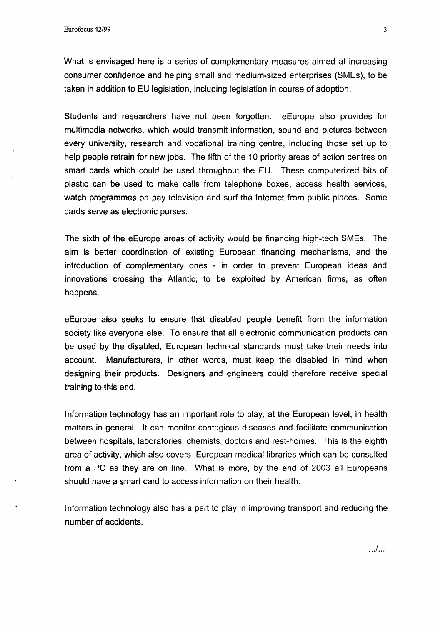What is envisaged here is a series of complementary measures aimed at increasing consumer confidence and helping small and medium-sized enterprises (SMEs), to be taken in addition to EU legislation, including legislation in course of adoption.

Students and researchers have not been forgotten. eEurope also provides for multimedia networks, which would transmit information, sound and pictures between every university, research and vocational training centre, including those set up to help people retrain for new jobs. The fifth of the 10 priority areas of action centres on smart cards which could be used throughout the EU. These computerized bits of plastic can be used to make calls from telephone boxes, access health services, watch programmes on pay television and surf the Internet from public places. Some cards serve as electronic purses.

The sixth of the eEurope areas of activity would be financing high-tech SMEs. The aim is better coordination of existing European financing mechanisms, and the introduction of complementary ones - in order to prevent European ideas and innovations crossing the Atlantic, to be exploited by American firms, as often happens.

eEurope afso seeks to ensure that disabled people benefit from the information society like everyone else. To ensure that all electronic communication products can be used by the disabled, European technical standards must take their needs into account. Manufacturers, in other words, must keep the disabled in mind when designing their products. Designers and engineers could therefore receive special training to this end.

Information technology has an important role to play, at the European level, in health matters in general. It can monitor contagious diseases and facilitate communication between hospitals, laboratories, chemists, doctors and rest-homes. This is the eighth area of activity, which also covers European medical libraries which can be consulted from a PC as they are on line. What is more, by the end of 2003 all Europeans should have a smart card to access information on their health.

Information technology also has a part to play in improving transport and reducing the number of accidents.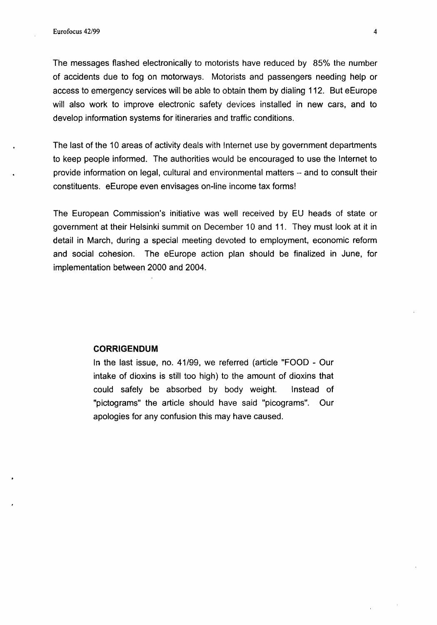The messages flashed electronically to motorists have reduced by 85% the number of accidents due to fog on motorways. Motorists and passengers needing help or access to emergency services will be able to obtain them by dialing 112. But eEurope will also work to improve electronic safety devices installed in new cars, and to develop information systems for itineraries and traffic conditions.

The last of the 10 areas of activity deals with Internet use by government departments to keep people informed. The authorities would be encouraged to use the Internet to provide information on legal, cultural and environmental matters  $-$  and to consult their constituents. eEurope even envisages on·line income tax forms!

The European Commission's initiative was well received by EU heads of state or government at their Helsinki summit on December 10 and 11. They must look at it in detail in March, during a special meeting devoted to employment, economic reform and social cohesion. The eEurope action plan should be finalized in June, for implementation between 2000 and 2004.

## **CORRIGENDUM**

In the last issue, no. 41/99, we referred (article "FOOD • Our intake of dioxins is still too high) to the amount of dioxins that could safely be absorbed by body weight. Instead of "pictograms" the article should have said "picograms". Our apologies for any confusion this may have caused.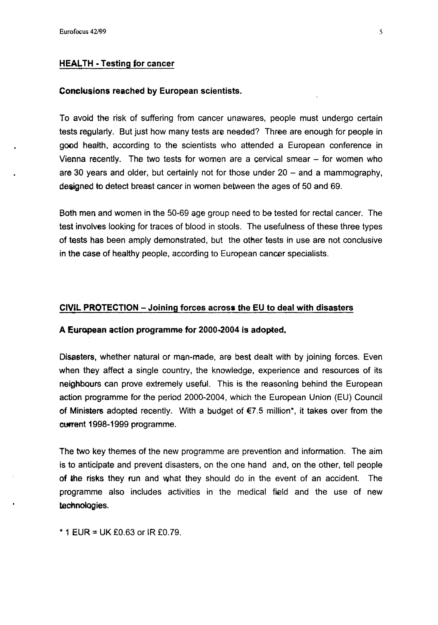## HEALTH ·Testing for cancer

#### Conclusions reached by European scientists.

To avoid the risk of suffering from cancer unawares, people must undergo certain tests regularly. But just how many tests are needed? Three are enough for people in good health, according to the scientists who attended a European conference in Vienna recently. The two tests for women are a cervical smear- for women who are 30 years and older, but certainly not for those under  $20 -$  and a mammography, designed to detect breast cancer in women between the ages of 50 and 69.

Both men and women in the 50-69 age group need to be tested for rectal cancer. The test involves looking for traces of blood in stools. The usefulness of these three types of tests has been amply demonstrated, but the other tests in use are not conclusive in the case of healthy people, according to European cancer specialists.

## CIVIL PROTECTION -Joining forces across the EU to deal with disasters

## A European action programme for 2000-2004 is adopted.

Disasters, whether natural or man-made, are best dealt with by joining forces. Even when they affect a single country, the knowledge, experience and resources of its neighbours can prove extremely useful. This is the reasoning behind the European action programme for the period 2000-2004, which the European Union (EU) Council of Ministers adopted recently. With a budget of  $E$ 7.5 million\*, it takes over from the current 1998-1999 programme.

The two key themes of the new programme are prevention and information. The aim is to anticipate and prevent disasters, on the one hand and, on the other, tell people of &he risks they run and what they should do in the event of an accident. The programme also includes activities in the medical field and the use of new technologies.

\* 1 EUR = UK £0.63 or IR £0.79.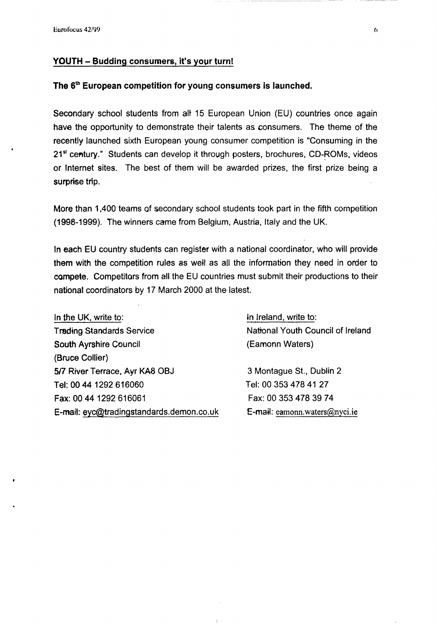## YOUTH - Budding consumers, it's your turn!

# The 6<sup>th</sup> European competition for young consumers is launched.

Secondary school students from alt 15 European Union (EU) countries once again have the opportunity to demonstrate their talents as consumers. The theme of the recently launched sixth European young consumer competition is "Consuming in the 21<sup>st</sup> century." Students can develop it through posters, brochures, CD-ROMs, videos or Internet sites. The best of them will be awarded prizes, the first prize being a surprise trip.

More than 1 ,400 teams of secondary school students took part in the fifth competition (1998-1999). The winners came from Belgium, Austria, Italy and the UK.

In each EU country students can register with a national coordinator, who will provide them with the competition rules as well as all the information they need in order to compete. Competitors from all the EU countries must submit their productions to their national coordinators by 17 March 2000 at the latest.

In the UK, write to: **Trading Standards Service** South Ayrshire Council (Bruce Collier) 517 River Terrace, Ayr KA8 OBJ Tel: 00 44 1292 616060 Fax: 00 44 1292 616061 E-mail: eyc@tradingstandards.demon.co.uk 'n Jreland, write to: National Youth Council of Ireland (Eamonn Waters)

3 Montague St., Dublin 2 Tel: 00 353 478 41 27 Fax: 00 353 478 39 74 E-mail: eamonn. waters@nyci.ie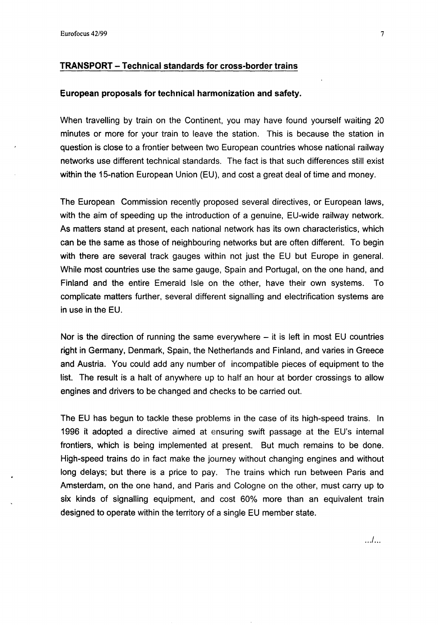# TRANSPORT- Technical standards for cross-border trains

### European proposals for technical harmonization and safety.

When travelling by train on the Continent, you may have found yourself waiting 20 minutes or more for your train to leave the station. This is because the station in question is close to a frontier between two European countries whose national railway networks use different technical standards. The fact is that such differences still exist within the 15-nation European Union (EU), and cost a great deal of time and money.

The European Commission recently proposed several directives, or European laws, with the aim of speeding up the introduction of a genuine, EU-wide railway network. As matters stand at present, each national network has its own characteristics, which can be the same as those of neighbouring networks but are often different. To begin with there are several track gauges within not just the EU but Europe in general. While most countries use the same gauge, Spain and Portugal, on the one hand, and Finland and the entire Emerald Isle on the other, have their own systems. To complicate matters further, several different signalling and electrification systems are in use in the EU.

Nor is the direction of running the same everywhere  $-$  it is left in most EU countries right in Germany, Denmark, Spain, the Netherlands and Finland, and varies in Greece and Austria. You could add any number of incompatible pieces of equipment to the list. The result is a halt of anywhere up to half an hour at border crossings to allow engines and drivers to be changed and checks to be carried out.

The EU has begun to tackle these problems in the case of its high-speed trains. In 1996 it adopted a directive aimed at ensuring swift passage at the EU's internal frontiers, which is being implemented at present. But much remains to be done. High-speed trains do in fact make the journey without changing engines and without long delays; but there is a price to pay. The trains which run between Paris and Amsterdam, on the one hand, and Paris and Cologne on the other, must carry up to six kinds of signalling equipment, and cost 60% more than an equivalent train designed to operate within the territory of a single EU member state.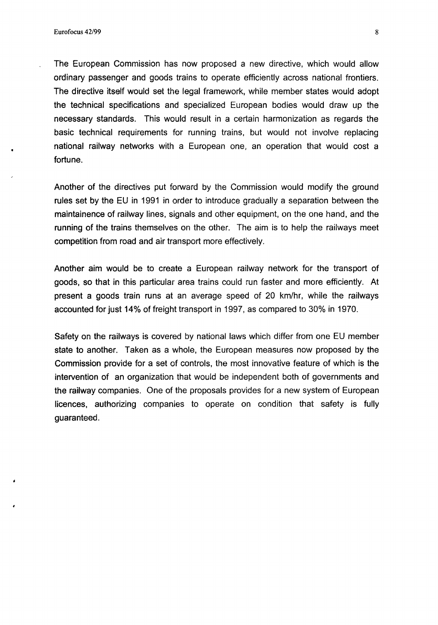The European Commission has now proposed a new directive, which would allow ordinary passenger and goods trains to operate efficiently across national frontiers. The directive itself would set the legal framework, while member states would adopt the technical specifications and specialized European bodies would draw up the necessary standards. This would result in a certain harmonization as regards the basic technical requirements for running trains, but would not involve replacing national railway networks with a European one, an operation that would cost a fortune.

Another of the directives put forward by the Commission would modify the ground rules set by the EU in 1991 in order to introduce gradually a separation between the maintainence of railway lines, signals and other equipment, on the one hand, and the running of the trains themselves on the other. The aim is to help the railways meet competition from road and air transport more effectively.

Another aim would be to create a European railway network for the transport of goods, so that in this particular area trains could run faster and more efficiently. At present a goods train runs at an average speed of 20 km/hr, while the railways accounted for just 14% of freight transport in 1997, as compared to 30% in 1970.

Safety on the railways is covered by national laws which differ from one EU member state to another. Taken as a whole, the European measures now proposed by the Commission provide for a set of controls, the most innovative feature of which is the intervention of an organization that would be independent both of governments and the railway companies. One of the proposals provides for a new system of European licences, authorizing companies to operate on condition that safety is fully guaranteed.